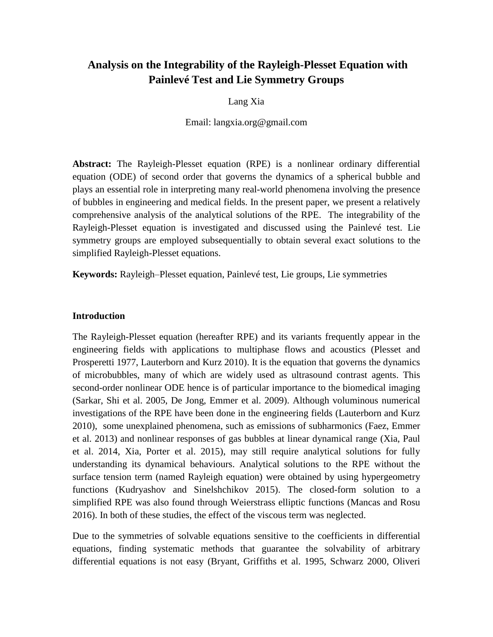# **Analysis on the Integrability of the Rayleigh-Plesset Equation with Painlevé Test and Lie Symmetry Groups**

Lang Xia

Email: langxia.org@gmail.com

**Abstract:** The Rayleigh-Plesset equation (RPE) is a nonlinear ordinary differential equation (ODE) of second order that governs the dynamics of a spherical bubble and plays an essential role in interpreting many real-world phenomena involving the presence of bubbles in engineering and medical fields. In the present paper, we present a relatively comprehensive analysis of the analytical solutions of the RPE. The integrability of the Rayleigh-Plesset equation is investigated and discussed using the Painlevé test. Lie symmetry groups are employed subsequentially to obtain several exact solutions to the simplified Rayleigh-Plesset equations.

**Keywords:** Rayleigh–Plesset equation, Painlevé test, Lie groups, Lie symmetries

# **Introduction**

The Rayleigh-Plesset equation (hereafter RPE) and its variants frequently appear in the engineering fields with applications to multiphase flows and acoustics (Plesset and Prosperetti 1977, Lauterborn and Kurz 2010). It is the equation that governs the dynamics of microbubbles, many of which are widely used as ultrasound contrast agents. This second-order nonlinear ODE hence is of particular importance to the biomedical imaging (Sarkar, Shi et al. 2005, De Jong, Emmer et al. 2009). Although voluminous numerical investigations of the RPE have been done in the engineering fields (Lauterborn and Kurz 2010), some unexplained phenomena, such as emissions of subharmonics (Faez, Emmer et al. 2013) and nonlinear responses of gas bubbles at linear dynamical range (Xia, Paul et al. 2014, Xia, Porter et al. 2015), may still require analytical solutions for fully understanding its dynamical behaviours. Analytical solutions to the RPE without the surface tension term (named Rayleigh equation) were obtained by using hypergeometry functions (Kudryashov and Sinelshchikov 2015). The closed-form solution to a simplified RPE was also found through Weierstrass elliptic functions (Mancas and Rosu 2016). In both of these studies, the effect of the viscous term was neglected.

Due to the symmetries of solvable equations sensitive to the coefficients in differential equations, finding systematic methods that guarantee the solvability of arbitrary differential equations is not easy (Bryant, Griffiths et al. 1995, Schwarz 2000, Oliveri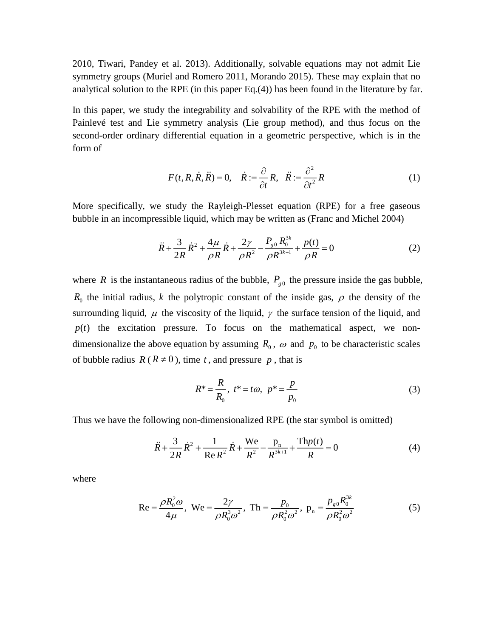2010, Tiwari, Pandey et al. 2013). Additionally, solvable equations may not admit Lie symmetry groups (Muriel and Romero 2011, Morando 2015). These may explain that no analytical solution to the RPE (in this paper Eq.(4)) has been found in the literature by far.

In this paper, we study the integrability and solvability of the RPE with the method of Painlevé test and Lie symmetry analysis (Lie group method), and thus focus on the second-order ordinary differential equation in a geometric perspective, which is in the form of

$$
F(t, R, \dot{R}, \ddot{R}) = 0, \quad \dot{R} := \frac{\partial}{\partial t} R, \quad \ddot{R} := \frac{\partial^2}{\partial t^2} R
$$
 (1)

More specifically, we study the Rayleigh-Plesset equation (RPE) for a free gaseous bubble in an incompressible liquid, which may be written as (Franc and Michel 2004)

$$
\ddot{R} + \frac{3}{2R} \dot{R}^2 + \frac{4\mu}{\rho R} \dot{R} + \frac{2\gamma}{\rho R^2} - \frac{P_{g0} R_0^{3k}}{\rho R^{3k+1}} + \frac{p(t)}{\rho R} = 0
$$
\n(2)

where *R* is the instantaneous radius of the bubble,  $P_{g0}$  the pressure inside the gas bubble,  $R_0$  the initial radius, *k* the polytropic constant of the inside gas,  $\rho$  the density of the surrounding liquid,  $\mu$  the viscosity of the liquid,  $\gamma$  the surface tension of the liquid, and  $p(t)$  the excitation pressure. To focus on the mathematical aspect, we nondimensionalize the above equation by assuming  $R_0$ ,  $\omega$  and  $p_0$  to be characteristic scales of bubble radius  $R(R \neq 0)$ , time t, and pressure p, that is

$$
R^* = \frac{R}{R_0}, \ t^* = t\omega, \ p^* = \frac{p}{p_0}
$$
 (3)

Thus we have the following non-dimensionalized RPE (the star symbol is omitted)

$$
\ddot{R} + \frac{3}{2R}\dot{R}^2 + \frac{1}{\text{Re}\,R^2}\dot{R} + \frac{\text{We}}{R^2} - \frac{p_n}{R^{3k+1}} + \frac{\text{Th}p(t)}{R} = 0\tag{4}
$$

where

$$
\text{Re} = \frac{\rho R_0^2 \omega}{4\mu}, \text{ We} = \frac{2\gamma}{\rho R_0^3 \omega^2}, \text{ Th} = \frac{p_0}{\rho R_0^2 \omega^2}, \text{ p}_n = \frac{p_{g0} R_0^{3k}}{\rho R_0^2 \omega^2}
$$
(5)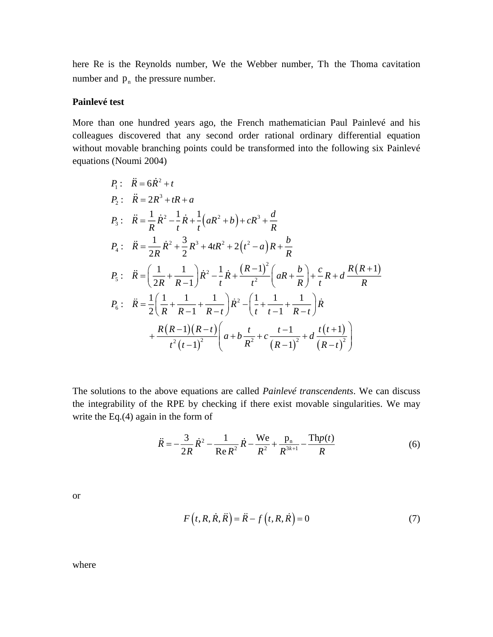here Re is the Reynolds number, We the Webber number, Th the Thoma cavitation number and  $p_n$  the pressure number.

## **Painlevé test**

More than one hundred years ago, the French mathematician Paul Painlevé and his colleagues discovered that any second order rational ordinary differential equation without movable branching points could be transformed into the following six Painlevé equations (Noumi 2004)

$$
P_1: \quad \vec{R} = 6\dot{R}^2 + t
$$
\n
$$
P_2: \quad \vec{R} = 2R^3 + tR + a
$$
\n
$$
P_3: \quad \vec{R} = \frac{1}{R}\dot{R}^2 - \frac{1}{t}\dot{R} + \frac{1}{t}(aR^2 + b) + cR^3 + \frac{d}{R}
$$
\n
$$
P_4: \quad \vec{R} = \frac{1}{2R}\dot{R}^2 + \frac{3}{2}R^3 + 4tR^2 + 2(t^2 - a)R + \frac{b}{R}
$$
\n
$$
P_5: \quad \vec{R} = \left(\frac{1}{2R} + \frac{1}{R-1}\right)\dot{R}^2 - \frac{1}{t}\dot{R} + \frac{(R-1)^2}{t^2}\left(aR + \frac{b}{R}\right) + \frac{c}{t}R + d\frac{R(R+1)}{R}
$$
\n
$$
P_6: \quad \vec{R} = \frac{1}{2}\left(\frac{1}{R} + \frac{1}{R-1} + \frac{1}{R-t}\right)\dot{R}^2 - \left(\frac{1}{t} + \frac{1}{t-1} + \frac{1}{R-t}\right)\dot{R}
$$
\n
$$
+ \frac{R(R-1)(R-t)}{t^2(t-1)^2}\left(a + b\frac{t}{R^2} + c\frac{t-1}{(R-1)^2} + d\frac{t(t+1)}{(R-t)^2}\right)
$$

The solutions to the above equations are called *Painlevé transcendents*. We can discuss the integrability of the RPE by checking if there exist movable singularities. We may write the Eq.(4) again in the form of

$$
\ddot{R} = -\frac{3}{2R}\dot{R}^2 - \frac{1}{\text{Re }R^2}\dot{R} - \frac{\text{We}}{R^2} + \frac{p_n}{R^{3k+1}} - \frac{\text{Th}p(t)}{R}
$$
(6)

or

$$
F(t, R, \dot{R}, \ddot{R}) = \ddot{R} - f(t, R, \dot{R}) = 0
$$
\n(7)

where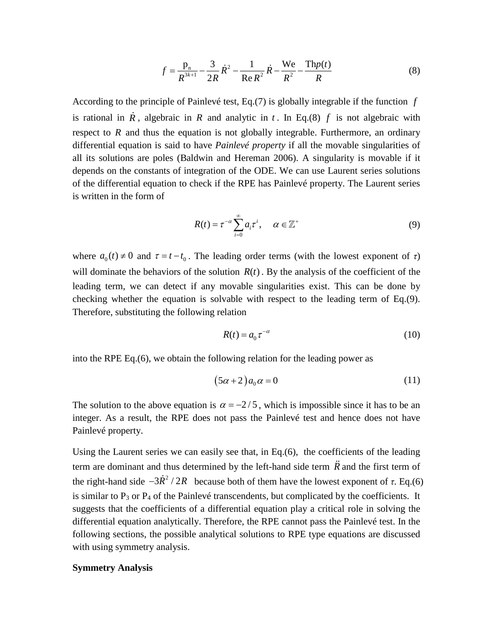$$
f = \frac{p_n}{R^{3k+1}} - \frac{3}{2R} \dot{R}^2 - \frac{1}{\text{Re } R^2} \dot{R} - \frac{\text{We}}{R^2} - \frac{\text{Th}p(t)}{R}
$$
(8)

According to the principle of Painlevé test, Eq.(7) is globally integrable if the function *f* is rational in  $\hat{R}$ , algebraic in  $R$  and analytic in  $t$ . In Eq.(8)  $f$  is not algebraic with respect to  $R$  and thus the equation is not globally integrable. Furthermore, an ordinary differential equation is said to have *Painlevé property* if all the movable singularities of all its solutions are poles (Baldwin and Hereman 2006). A singularity is movable if it depends on the constants of integration of the ODE. We can use Laurent series solutions of the differential equation to check if the RPE has Painlevé property. The Laurent series is written in the form of

$$
R(t) = \tau^{-\alpha} \sum_{i=0}^{\infty} a_i \tau^i, \quad \alpha \in \mathbb{Z}^+ \tag{9}
$$

where  $a_0(t) \neq 0$  and  $\tau = t - t_0$ . The leading order terms (with the lowest exponent of  $\tau$ ) will dominate the behaviors of the solution  $R(t)$ . By the analysis of the coefficient of the leading term, we can detect if any movable singularities exist. This can be done by checking whether the equation is solvable with respect to the leading term of Eq.(9). Therefore, substituting the following relation

$$
R(t) = a_0 \tau^{-\alpha} \tag{10}
$$

into the RPE Eq.(6), we obtain the following relation for the leading power as

$$
(5\alpha + 2)a_0 \alpha = 0 \tag{11}
$$

The solution to the above equation is  $\alpha = -2/5$ , which is impossible since it has to be an integer. As a result, the RPE does not pass the Painlevé test and hence does not have Painlevé property.

Using the Laurent series we can easily see that, in Eq.(6), the coefficients of the leading term are dominant and thus determined by the left-hand side term *R* and the first term of the right-hand side  $-3R^2/2R$  because both of them have the lowest exponent of *τ*. Eq.(6) is similar to  $P_3$  or  $P_4$  of the Painlevé transcendents, but complicated by the coefficients. It suggests that the coefficients of a differential equation play a critical role in solving the differential equation analytically. Therefore, the RPE cannot pass the Painlevé test. In the following sections, the possible analytical solutions to RPE type equations are discussed with using symmetry analysis.

### **Symmetry Analysis**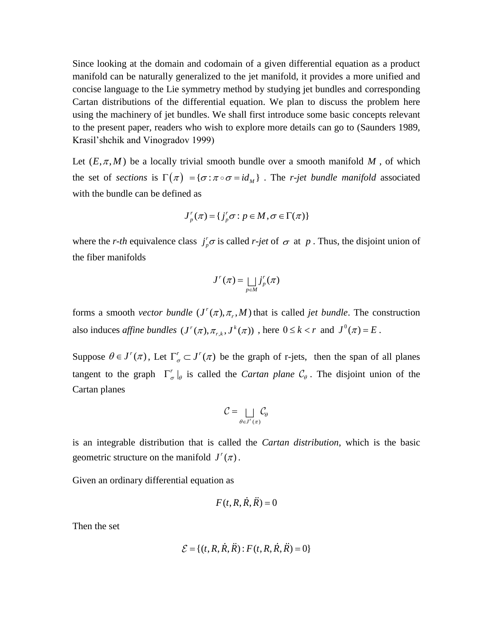Since looking at the domain and codomain of a given differential equation as a product manifold can be naturally generalized to the jet manifold, it provides a more unified and concise language to the Lie symmetry method by studying jet bundles and corresponding Cartan distributions of the differential equation. We plan to discuss the problem here using the machinery of jet bundles. We shall first introduce some basic concepts relevant to the present paper, readers who wish to explore more details can go to (Saunders 1989, Krasil'shchik and Vinogradov 1999)

Let  $(E, \pi, M)$  be a locally trivial smooth bundle over a smooth manifold M, of which the set of *sections* is  $\Gamma(\pi) = {\sigma : \pi \circ \sigma = id_M}$ . The *r-jet bundle manifold* associated with the bundle can be defined as

$$
J_p^r(\pi) = \{ j_p^r \sigma : p \in M, \sigma \in \Gamma(\pi) \}
$$

where the *r*-th equivalence class  $j<sub>r</sub><sup>r</sup>$  $j_p^r \sigma$  is called *r-jet* of  $\sigma$  at *p*. Thus, the disjoint union of the fiber manifolds

$$
J^r(\pi) = \bigsqcup_{p \in M} j_p^r(\pi)
$$

forms a smooth *vector bundle*  $(J^r(\pi), \pi_r, M)$  that is called *jet bundle*. The construction also induces *affine bundles*  $(J^r(\pi), \pi_{r,k}, J^k(\pi))$ , here  $0 \le k < r$  and  $J^0(\pi) = E$ .

Suppose  $\theta \in J'(\pi)$ , Let  $\Gamma_{\sigma}^r \subset J'(\pi)$  be the graph of r-jets, then the span of all planes tangent to the graph  $\Gamma_{\sigma}^r|_{\theta}$  is called the *Cartan plane*  $\mathcal{C}_{\theta}$ . The disjoint union of the | Cartan planes

$$
\mathcal{C} = \bigsqcup_{\theta \in J^{r}(\pi)} \mathcal{C}_{\theta}
$$

is an integrable distribution that is called the *Cartan distribution*, which is the basic geometric structure on the manifold  $J^r(\pi)$ .

Given an ordinary differential equation as

$$
F(t, R, \dot{R}, \ddot{R}) = 0
$$

Then the set

$$
\mathcal{E} = \{ (t, R, \dot{R}, \ddot{R}) : F(t, R, \dot{R}, \ddot{R}) = 0 \}
$$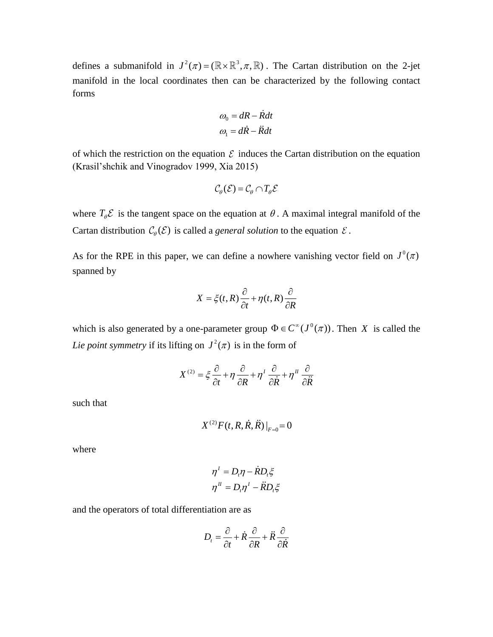defines a submanifold in  $J^2(\pi) = (\mathbb{R} \times \mathbb{R}^3, \pi, \mathbb{R})$ . The Cartan distribution on the 2-jet manifold in the local coordinates then can be characterized by the following contact forms

$$
\omega_0 = dR - \dot{R}dt
$$

$$
\omega_1 = d\dot{R} - \ddot{R}dt
$$

of which the restriction on the equation  $\mathcal E$  induces the Cartan distribution on the equation (Krasil'shchik and Vinogradov 1999, Xia 2015)

$$
\mathcal{C}_{\theta}(\mathcal{E}) = \mathcal{C}_{\theta} \cap T_{\theta} \mathcal{E}
$$

where  $T_{\theta}$ **E** is the tangent space on the equation at  $\theta$ . A maximal integral manifold of the Cartan distribution  $\mathcal{C}_{\theta}(\mathcal{E})$  is called a *general solution* to the equation  $\mathcal{E}$ .

As for the RPE in this paper, we can define a nowhere vanishing vector field on  $J^0(\pi)$ spanned by

$$
X = \xi(t, R)\frac{\partial}{\partial t} + \eta(t, R)\frac{\partial}{\partial R}
$$

which is also generated by a one-parameter group  $\Phi \in C^{\infty}(J^0(\pi))$ . Then X is called the Lie point symmetry if its lifting on  $J^2(\pi)$  is in the form of

$$
X^{(2)} = \xi \frac{\partial}{\partial t} + \eta \frac{\partial}{\partial R} + \eta^I \frac{\partial}{\partial \dot{R}} + \eta^H \frac{\partial}{\partial \ddot{R}}
$$

such that

$$
X^{(2)}F(t, R, R, R) \big|_{F=0} = 0
$$

where

$$
\eta^I = D_i \eta - \dot{R} D_i \xi
$$

$$
\eta^I = D_i \eta^I - \ddot{R} D_i \xi
$$

and the operators of total differentiation are as

$$
D_t = \frac{\partial}{\partial t} + \dot{R}\frac{\partial}{\partial R} + \ddot{R}\frac{\partial}{\partial \dot{R}}
$$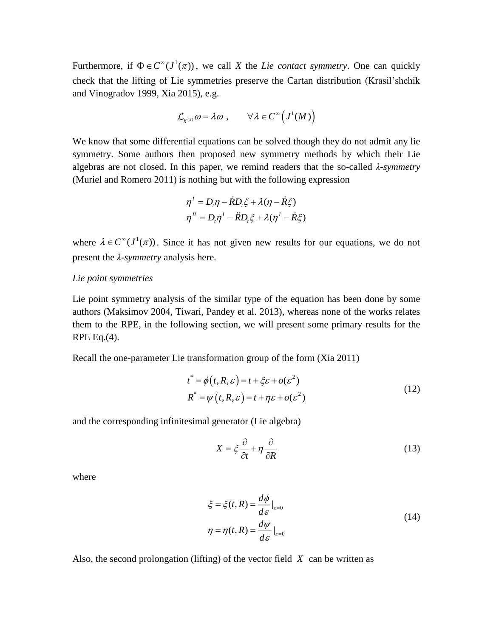Furthermore, if  $\Phi \in C^{\infty}(J^1(\pi))$ , we call *X* the *Lie contact symmetry*. One can quickly check that the lifting of Lie symmetries preserve the Cartan distribution (Krasil'shchik and Vinogradov 1999, Xia 2015), e.g.

$$
\mathcal{L}_{X^{(2)}}\omega = \lambda \omega , \qquad \forall \lambda \in C^{\infty} (J^1(M))
$$

We know that some differential equations can be solved though they do not admit any lie symmetry. Some authors then proposed new symmetry methods by which their Lie algebras are not closed. In this paper, we remind readers that the so-called *λ-symmetry* (Muriel and Romero 2011) is nothing but with the following expression

$$
\eta^I = D_i \eta - \dot{R} D_i \xi + \lambda (\eta - \dot{R} \xi)
$$
  

$$
\eta^I = D_i \eta^I - \ddot{R} D_i \xi + \lambda (\eta^I - \dot{R} \xi)
$$

where  $\lambda \in C^{\infty}(J^1(\pi))$ . Since it has not given new results for our equations, we do not present the *λ-symmetry* analysis here.

### *Lie point symmetries*

Lie point symmetry analysis of the similar type of the equation has been done by some authors (Maksimov 2004, Tiwari, Pandey et al. 2013), whereas none of the works relates them to the RPE, in the following section, we will present some primary results for the RPE Eq. $(4)$ .

Recall the one-parameter Lie transformation group of the form (Xia 2011)

$$
t^* = \phi(t, R, \varepsilon) = t + \xi \varepsilon + o(\varepsilon^2)
$$
  
\n
$$
R^* = \psi(t, R, \varepsilon) = t + \eta \varepsilon + o(\varepsilon^2)
$$
\n(12)

and the corresponding infinitesimal generator (Lie algebra)

$$
X = \xi \frac{\partial}{\partial t} + \eta \frac{\partial}{\partial R}
$$
 (13)

where

$$
\xi = \xi(t, R) = \frac{d\phi}{d\varepsilon}\big|_{\varepsilon=0}
$$
  

$$
\eta = \eta(t, R) = \frac{d\psi}{d\varepsilon}\big|_{\varepsilon=0}
$$
 (14)

Also, the second prolongation (lifting) of the vector field *X* can be written as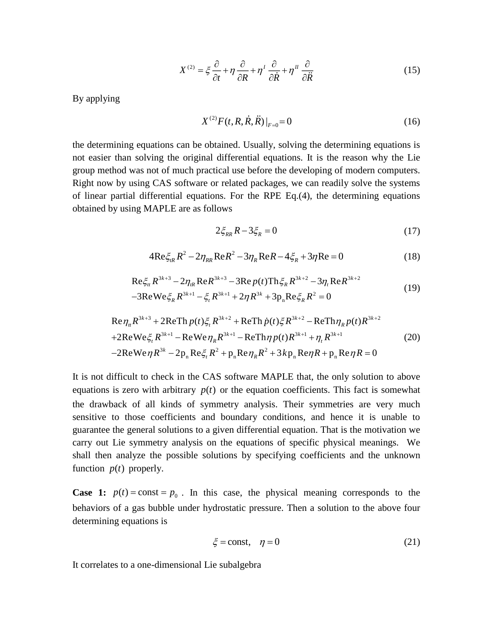$$
X^{(2)} = \xi \frac{\partial}{\partial t} + \eta \frac{\partial}{\partial R} + \eta' \frac{\partial}{\partial \dot{R}} + \eta'' \frac{\partial}{\partial \ddot{R}}
$$
(15)

By applying

$$
X^{(2)}F(t, R, \dot{R}, \ddot{R})|_{F=0} = 0 \tag{16}
$$

the determining equations can be obtained. Usually, solving the determining equations is not easier than solving the original differential equations. It is the reason why the Lie group method was not of much practical use before the developing of modern computers. Right now by using CAS software or related packages, we can readily solve the systems of linear partial differential equations. For the RPE Eq.(4), the determining equations obtained by using MAPLE are as follows

$$
2\xi_{RR}R - 3\xi_R = 0\tag{17}
$$

$$
4\text{Re}\xi_{ik}R^{2} - 2\eta_{RR}\text{Re}R^{2} - 3\eta_{R}\text{Re}R - 4\xi_{R} + 3\eta\text{Re} = 0
$$
 (18)

$$
\operatorname{Re}\xi_{tt} R^{3k+3} - 2\eta_{tR} \operatorname{Re} R^{3k+3} - 3\operatorname{Re} p(t) \operatorname{Th}\xi_{R} R^{3k+2} - 3\eta_{t} \operatorname{Re} R^{3k+2}
$$
  
-3
$$
\operatorname{Re}\operatorname{We}\xi_{R} R^{3k+1} - \xi_{t} R^{3k+1} + 2\eta R^{3k} + 3p_{n} \operatorname{Re}\xi_{R} R^{2} = 0
$$
 (19)

$$
\operatorname{Re}\eta_{n}R^{3k+3} + 2\operatorname{ReTh}p(t)\xi_{n}R^{3k+2} + \operatorname{ReTh}p(t)\xi R^{3k+2} - \operatorname{ReTh}\eta_{n}p(t)R^{3k+2}
$$
  
+2\operatorname{ReWe}\xi\_{n}R^{3k+1} - \operatorname{ReWe}\eta\_{n}R^{3k+1} - \operatorname{ReTh}\eta\_{n}p(t)R^{3k+1} + \eta\_{n}R^{3k+1} (20)  
-2\operatorname{ReWe}\eta R^{3k} - 2p\_{n} \operatorname{Re}\xi\_{n}R^{2} + p\_{n} \operatorname{Re}\eta\_{n}R^{2} + 3kp\_{n} \operatorname{Re}\eta\_{n}R + p\_{n} \operatorname{Re}\eta\_{n}R = 0

It is not difficult to check in the CAS software MAPLE that, the only solution to above equations is zero with arbitrary  $p(t)$  or the equation coefficients. This fact is somewhat the drawback of all kinds of symmetry analysis. Their symmetries are very much sensitive to those coefficients and boundary conditions, and hence it is unable to guarantee the general solutions to a given differential equation. That is the motivation we carry out Lie symmetry analysis on the equations of specific physical meanings. We shall then analyze the possible solutions by specifying coefficients and the unknown function  $p(t)$  properly.

**Case 1:**  $p(t) = \text{const} = p_0$ . In this case, the physical meaning corresponds to the behaviors of a gas bubble under hydrostatic pressure. Then a solution to the above four determining equations is

$$
\xi = \text{const}, \quad \eta = 0 \tag{21}
$$

It correlates to a one-dimensional Lie subalgebra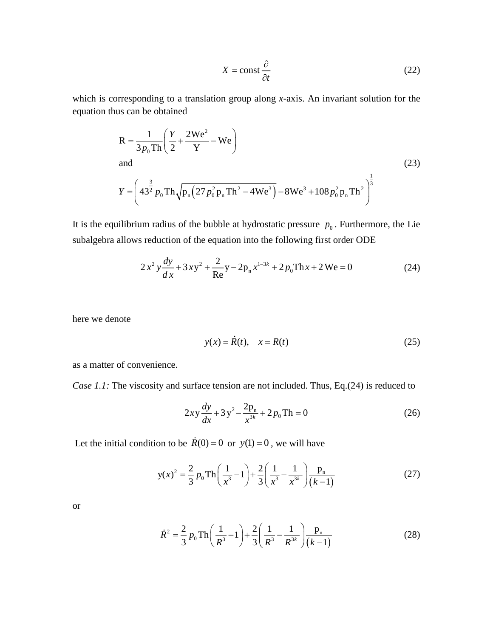$$
X = \text{const} \frac{\partial}{\partial t} \tag{22}
$$

which is corresponding to a translation group along *x*-axis. An invariant solution for the equation thus can be obtained

$$
R = \frac{1}{3p_0 Th} \left( \frac{Y}{2} + \frac{2We^2}{Y} - We \right)
$$
  
and  

$$
Y = \left( 43^{\frac{3}{2}} p_0 Th \sqrt{p_n (27p_0^2 p_n Th^2 - 4We^3)} - 8We^3 + 108p_0^2 p_n Th^2 \right)^{\frac{1}{3}}
$$
 (23)

It is the equilibrium radius of the bubble at hydrostatic pressure  $p_0$ . Furthermore, the Lie subalgebra allows reduction of the equation into the following first order ODE

$$
2x^{2}y\frac{dy}{dx} + 3xy^{2} + \frac{2}{Re}y - 2p_{n}x^{1-3k} + 2p_{0}Thx + 2We = 0
$$
 (24)

here we denote

$$
y(x) = R(t), \quad x = R(t) \tag{25}
$$

as a matter of convenience.

*Case 1.1:* The viscosity and surface tension are not included. Thus, Eq.(24) is reduced to

$$
2xy\frac{dy}{dx} + 3y^2 - \frac{2p_n}{x^{3k}} + 2p_0 \text{Th} = 0
$$
 (26)

Let the initial condition to be  $R(0) = 0$  or  $y(1) = 0$ , we will have

$$
y(x)^{2} = \frac{2}{3} p_{0} \text{Th}\left(\frac{1}{x^{3}} - 1\right) + \frac{2}{3} \left(\frac{1}{x^{3}} - \frac{1}{x^{3k}}\right) \frac{p_{n}}{(k-1)}
$$
(27)

or

$$
\dot{R}^2 = \frac{2}{3} p_0 \text{Th} \left( \frac{1}{R^3} - 1 \right) + \frac{2}{3} \left( \frac{1}{R^3} - \frac{1}{R^{3k}} \right) \frac{p_n}{(k-1)}
$$
(28)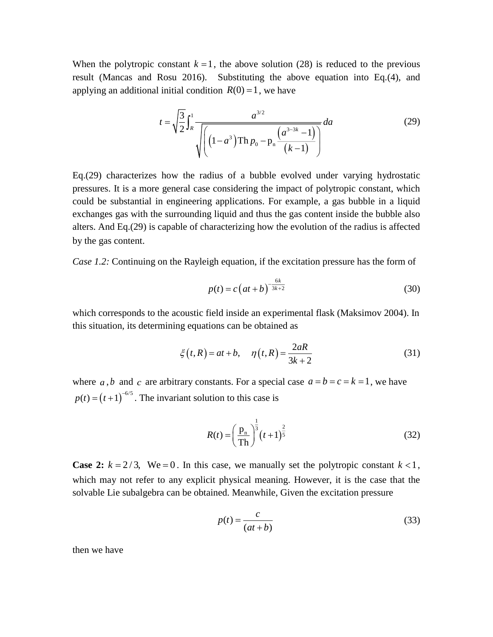When the polytropic constant  $k = 1$ , the above solution (28) is reduced to the previous result (Mancas and Rosu 2016). Substituting the above equation into Eq.(4), and applying an additional initial condition  $R(0) = 1$ , we have

$$
t = \sqrt{\frac{3}{2}} \int_{R}^{1} \frac{a^{3/2}}{\sqrt{\left( \left(1 - a^3\right) \text{Th } p_0 - p_n \frac{\left(a^{3-3k} - 1\right)}{\left(k - 1\right)}\right)}} da
$$
 (29)

Eq.(29) characterizes how the radius of a bubble evolved under varying hydrostatic pressures. It is a more general case considering the impact of polytropic constant, which could be substantial in engineering applications. For example, a gas bubble in a liquid exchanges gas with the surrounding liquid and thus the gas content inside the bubble also alters. And Eq.(29) is capable of characterizing how the evolution of the radius is affected by the gas content.

*Case 1.2:* Continuing on the Rayleigh equation, if the excitation pressure has the form of

$$
p(t) = c \left(at + b\right)^{-\frac{6k}{3k+2}}
$$
\n(30)

which corresponds to the acoustic field inside an experimental flask (Maksimov 2004). In this situation, its determining equations can be obtained as

$$
\xi(t,R) = at + b, \quad \eta(t,R) = \frac{2aR}{3k+2}
$$
\n(31)

where *a*, *b* and *c* are arbitrary constants. For a special case  $a = b = c = k = 1$ , we have  $p(t) = (t+1)^{-6/5}$ . The invariant solution to this case is

$$
R(t) = \left(\frac{p_n}{\text{Th}}\right)^{\frac{1}{3}} (t+1)^{\frac{2}{5}}
$$
 (32)

**Case 2:**  $k = 2/3$ , We = 0. In this case, we manually set the polytropic constant  $k < 1$ , which may not refer to any explicit physical meaning. However, it is the case that the solvable Lie subalgebra can be obtained. Meanwhile, Given the excitation pressure

$$
p(t) = \frac{c}{(at+b)}
$$
\n(33)

then we have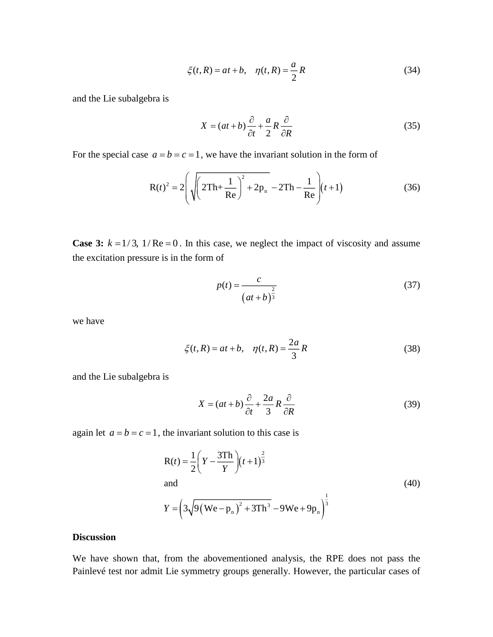$$
\xi(t,R) = at + b, \quad \eta(t,R) = \frac{a}{2}R\tag{34}
$$

and the Lie subalgebra is

$$
X = (at+b)\frac{\partial}{\partial t} + \frac{a}{2}R\frac{\partial}{\partial R}
$$
 (35)

For the special case  $a = b = c = 1$ , we have the invariant solution in the form of

$$
R(t)^{2} = 2\left(\sqrt{\left(2Th + \frac{1}{Re}\right)^{2} + 2p_{n}} - 2Th - \frac{1}{Re}\right)(t+1)
$$
 (36)

**Case 3:**  $k = 1/3$ ,  $1/Re = 0$ . In this case, we neglect the impact of viscosity and assume the excitation pressure is in the form of

$$
p(t) = \frac{c}{\left(at+b\right)^{\frac{2}{3}}} \tag{37}
$$

we have

$$
\xi(t,R) = at + b, \quad \eta(t,R) = \frac{2a}{3}R
$$
 (38)

and the Lie subalgebra is

$$
X = (at+b)\frac{\partial}{\partial t} + \frac{2a}{3}R\frac{\partial}{\partial R}
$$
 (39)

again let  $a = b = c = 1$ , the invariant solution to this case is

$$
R(t) = \frac{1}{2} \left( Y - \frac{3Th}{Y} \right) (t+1)^{\frac{2}{3}}
$$
  
and  

$$
Y = \left( 3\sqrt{9 (We - p_n)^2 + 3Th^3} - 9We + 9p_n \right)^{\frac{1}{3}}
$$
 (40)

### **Discussion**

We have shown that, from the abovementioned analysis, the RPE does not pass the Painlevé test nor admit Lie symmetry groups generally. However, the particular cases of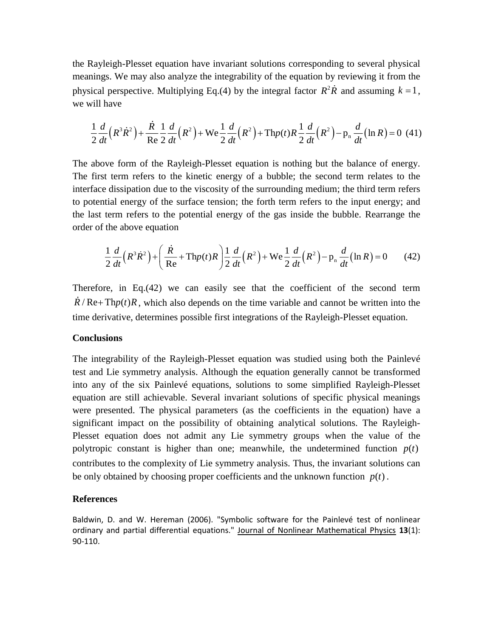the Rayleigh-Plesset equation have invariant solutions corresponding to several physical meanings. We may also analyze the integrability of the equation by reviewing it from the physical perspective. Multiplying Eq.(4) by the integral factor  $R^2R$  and assuming  $k = 1$ , we will have

$$
\frac{1}{2}\frac{d}{dt}\left(R^{3}\dot{R}^{2}\right) + \frac{\dot{R}}{\text{Re}}\frac{1}{2}\frac{d}{dt}\left(R^{2}\right) + \text{We}\frac{1}{2}\frac{d}{dt}\left(R^{2}\right) + \text{Thp}(t)R\frac{1}{2}\frac{d}{dt}\left(R^{2}\right) - \text{p}_{n}\frac{d}{dt}\left(\ln R\right) = 0\tag{41}
$$

The above form of the Rayleigh-Plesset equation is nothing but the balance of energy. The first term refers to the kinetic energy of a bubble; the second term relates to the interface dissipation due to the viscosity of the surrounding medium; the third term refers to potential energy of the surface tension; the forth term refers to the input energy; and the last term refers to the potential energy of the gas inside the bubble. Rearrange the order of the above equation<br>  $\frac{1}{2} \frac{d}{dr} (R^3 \dot{R}^2) + \left( \frac{\dot{R}}{R} + \text{Th}p(t)R \right) \frac{1}{r^2} \frac{d}{dr^2} (R^2) + \text{We} \frac{1}{r^2} \frac{d}{dr^2} (R$ order of the above equation

the above equation  
\n
$$
\frac{1}{2}\frac{d}{dt}\left(R^3\dot{R}^2\right) + \left(\frac{\dot{R}}{\text{Re}} + \text{Th}p(t)R\right)\frac{1}{2}\frac{d}{dt}\left(R^2\right) + \text{We } \frac{1}{2}\frac{d}{dt}\left(R^2\right) - \text{p}_n\frac{d}{dt}\left(\ln R\right) = 0 \tag{42}
$$

Therefore, in Eq.(42) we can easily see that the coefficient of the second term  $R/Re+Thp(t)R$ , which also depends on the time variable and cannot be written into the time derivative, determines possible first integrations of the Rayleigh-Plesset equation.

#### **Conclusions**

The integrability of the Rayleigh-Plesset equation was studied using both the Painlevé test and Lie symmetry analysis. Although the equation generally cannot be transformed into any of the six Painlevé equations, solutions to some simplified Rayleigh-Plesset equation are still achievable. Several invariant solutions of specific physical meanings were presented. The physical parameters (as the coefficients in the equation) have a significant impact on the possibility of obtaining analytical solutions. The Rayleigh-Plesset equation does not admit any Lie symmetry groups when the value of the polytropic constant is higher than one; meanwhile, the undetermined function  $p(t)$ contributes to the complexity of Lie symmetry analysis. Thus, the invariant solutions can be only obtained by choosing proper coefficients and the unknown function  $p(t)$ .

#### **References**

Baldwin, D. and W. Hereman (2006). "Symbolic software for the Painlevé test of nonlinear ordinary and partial differential equations." Journal of Nonlinear Mathematical Physics **13**(1): 90-110.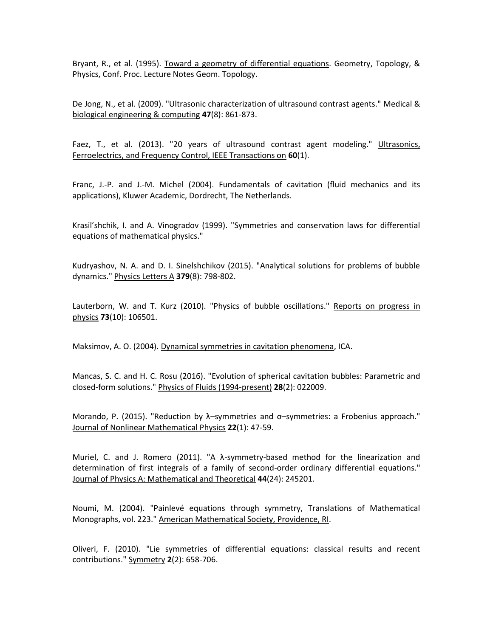Bryant, R., et al. (1995). Toward a geometry of differential equations. Geometry, Topology, & Physics, Conf. Proc. Lecture Notes Geom. Topology.

De Jong, N., et al. (2009). "Ultrasonic characterization of ultrasound contrast agents." Medical & biological engineering & computing **47**(8): 861-873.

Faez, T., et al. (2013). "20 years of ultrasound contrast agent modeling." Ultrasonics, Ferroelectrics, and Frequency Control, IEEE Transactions on **60**(1).

Franc, J.-P. and J.-M. Michel (2004). Fundamentals of cavitation (fluid mechanics and its applications), Kluwer Academic, Dordrecht, The Netherlands.

Krasil'shchik, I. and A. Vinogradov (1999). "Symmetries and conservation laws for differential equations of mathematical physics."

Kudryashov, N. A. and D. I. Sinelshchikov (2015). "Analytical solutions for problems of bubble dynamics." Physics Letters A **379**(8): 798-802.

Lauterborn, W. and T. Kurz (2010). "Physics of bubble oscillations." Reports on progress in physics **73**(10): 106501.

Maksimov, A. O. (2004). Dynamical symmetries in cavitation phenomena, ICA.

Mancas, S. C. and H. C. Rosu (2016). "Evolution of spherical cavitation bubbles: Parametric and closed-form solutions." Physics of Fluids (1994-present) **28**(2): 022009.

Morando, P. (2015). "Reduction by λ–symmetries and σ–symmetries: a Frobenius approach." Journal of Nonlinear Mathematical Physics **22**(1): 47-59.

Muriel, C. and J. Romero (2011). "A λ-symmetry-based method for the linearization and determination of first integrals of a family of second-order ordinary differential equations." Journal of Physics A: Mathematical and Theoretical **44**(24): 245201.

Noumi, M. (2004). "Painlevé equations through symmetry, Translations of Mathematical Monographs, vol. 223." American Mathematical Society, Providence, RI.

Oliveri, F. (2010). "Lie symmetries of differential equations: classical results and recent contributions." Symmetry **2**(2): 658-706.